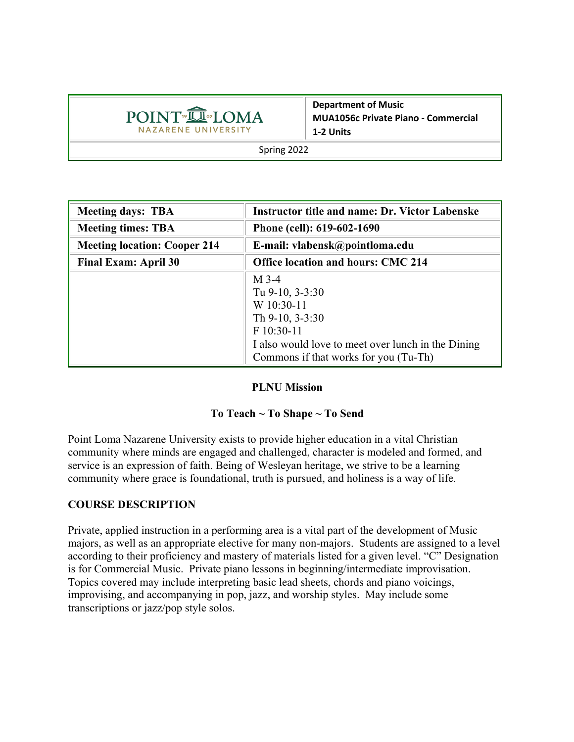

**Department of Music MUA1056c Private Piano - Commercial 1-2 Units**

Spring 2022

| <b>Meeting days: TBA</b>            | <b>Instructor title and name: Dr. Victor Labenske</b> |  |
|-------------------------------------|-------------------------------------------------------|--|
| <b>Meeting times: TBA</b>           | Phone (cell): 619-602-1690                            |  |
| <b>Meeting location: Cooper 214</b> | E-mail: vlabensk@pointloma.edu                        |  |
| <b>Final Exam: April 30</b>         | <b>Office location and hours: CMC 214</b>             |  |
|                                     | $M$ 3-4                                               |  |
|                                     | Tu 9-10, 3-3:30                                       |  |
|                                     | W 10:30-11                                            |  |
|                                     | Th $9-10$ , $3-3:30$                                  |  |
|                                     | F 10:30-11                                            |  |
|                                     | I also would love to meet over lunch in the Dining    |  |
|                                     | Commons if that works for you (Tu-Th)                 |  |

### **PLNU Mission**

### **To Teach ~ To Shape ~ To Send**

Point Loma Nazarene University exists to provide higher education in a vital Christian community where minds are engaged and challenged, character is modeled and formed, and service is an expression of faith. Being of Wesleyan heritage, we strive to be a learning community where grace is foundational, truth is pursued, and holiness is a way of life.

## **COURSE DESCRIPTION**

Private, applied instruction in a performing area is a vital part of the development of Music majors, as well as an appropriate elective for many non-majors. Students are assigned to a level according to their proficiency and mastery of materials listed for a given level. "C" Designation is for Commercial Music. Private piano lessons in beginning/intermediate improvisation. Topics covered may include interpreting basic lead sheets, chords and piano voicings, improvising, and accompanying in pop, jazz, and worship styles. May include some transcriptions or jazz/pop style solos.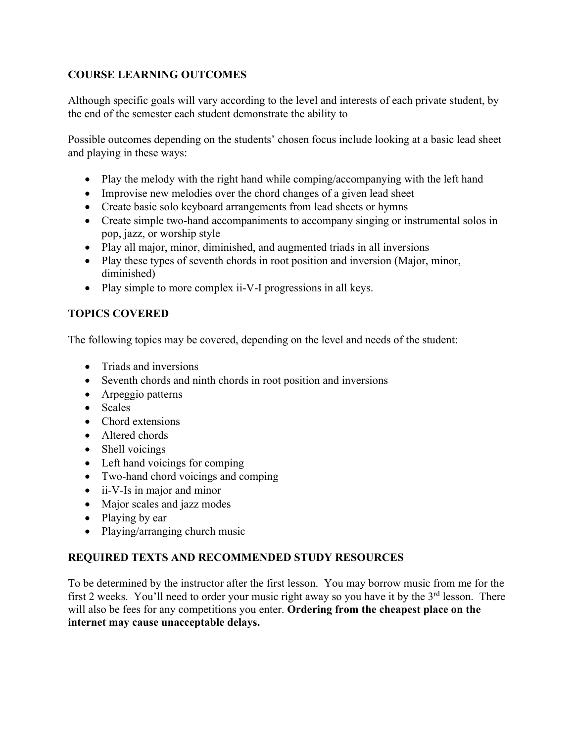# **COURSE LEARNING OUTCOMES**

Although specific goals will vary according to the level and interests of each private student, by the end of the semester each student demonstrate the ability to

Possible outcomes depending on the students' chosen focus include looking at a basic lead sheet and playing in these ways:

- Play the melody with the right hand while comping/accompanying with the left hand
- Improvise new melodies over the chord changes of a given lead sheet
- Create basic solo keyboard arrangements from lead sheets or hymns
- Create simple two-hand accompaniments to accompany singing or instrumental solos in pop, jazz, or worship style
- Play all major, minor, diminished, and augmented triads in all inversions
- Play these types of seventh chords in root position and inversion (Major, minor, diminished)
- Play simple to more complex ii-V-I progressions in all keys.

# **TOPICS COVERED**

The following topics may be covered, depending on the level and needs of the student:

- Triads and inversions
- Seventh chords and ninth chords in root position and inversions
- Arpeggio patterns
- Scales
- Chord extensions
- Altered chords
- Shell voicings
- Left hand voicings for comping
- Two-hand chord voicings and comping
- ii-V-Is in major and minor
- Major scales and jazz modes
- Playing by ear
- Playing/arranging church music

# **REQUIRED TEXTS AND RECOMMENDED STUDY RESOURCES**

To be determined by the instructor after the first lesson. You may borrow music from me for the first 2 weeks. You'll need to order your music right away so you have it by the  $3<sup>rd</sup>$  lesson. There will also be fees for any competitions you enter. **Ordering from the cheapest place on the internet may cause unacceptable delays.**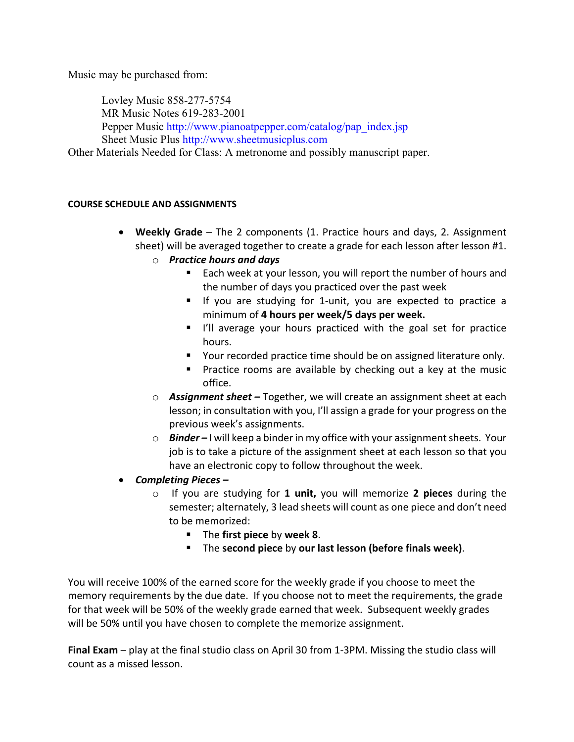Music may be purchased from:

Lovley Music 858-277-5754 MR Music Notes 619-283-2001 Pepper Music http://www.pianoatpepper.com/catalog/pap\_index.jsp Sheet Music Plus http://www.sheetmusicplus.com Other Materials Needed for Class: A metronome and possibly manuscript paper.

#### **COURSE SCHEDULE AND ASSIGNMENTS**

- **Weekly Grade** The 2 components (1. Practice hours and days, 2. Assignment sheet) will be averaged together to create a grade for each lesson after lesson #1.
	- o *Practice hours and days* 
		- Each week at your lesson, you will report the number of hours and the number of days you practiced over the past week
		- If you are studying for 1-unit, you are expected to practice a minimum of **4 hours per week/5 days per week.**
		- I'll average your hours practiced with the goal set for practice hours.
		- Your recorded practice time should be on assigned literature only.
		- Practice rooms are available by checking out a key at the music office.
	- o *Assignment sheet –* Together, we will create an assignment sheet at each lesson; in consultation with you, I'll assign a grade for your progress on the previous week's assignments.
	- o *Binder –* I will keep a binder in my office with your assignment sheets. Your job is to take a picture of the assignment sheet at each lesson so that you have an electronic copy to follow throughout the week.
- *Completing Pieces –*
	- o If you are studying for **1 unit,** you will memorize **2 pieces** during the semester; alternately, 3 lead sheets will count as one piece and don't need to be memorized:
		- § The **first piece** by **week 8**.
		- § The **second piece** by **our last lesson (before finals week)**.

You will receive 100% of the earned score for the weekly grade if you choose to meet the memory requirements by the due date. If you choose not to meet the requirements, the grade for that week will be 50% of the weekly grade earned that week. Subsequent weekly grades will be 50% until you have chosen to complete the memorize assignment.

**Final Exam** – play at the final studio class on April 30 from 1-3PM. Missing the studio class will count as a missed lesson.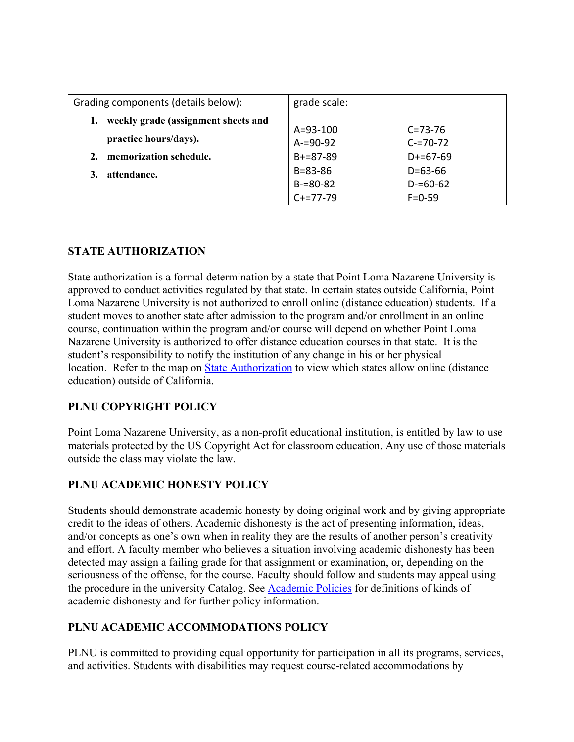| Grading components (details below):                          | grade scale:   |               |
|--------------------------------------------------------------|----------------|---------------|
| weekly grade (assignment sheets and<br>practice hours/days). | $A = 93 - 100$ | $C = 73 - 76$ |
|                                                              | $A = 90 - 92$  | $C = 70 - 72$ |
| memorization schedule.<br>2.                                 | $B+=87-89$     | $D+=67-69$    |
| attendance.                                                  | $B = 83 - 86$  | $D = 63 - 66$ |
|                                                              | $B = 80 - 82$  | $D = 60 - 62$ |
|                                                              | $C+=77-79$     | $F = 0.59$    |

# **STATE AUTHORIZATION**

State authorization is a formal determination by a state that Point Loma Nazarene University is approved to conduct activities regulated by that state. In certain states outside California, Point Loma Nazarene University is not authorized to enroll online (distance education) students. If a student moves to another state after admission to the program and/or enrollment in an online course, continuation within the program and/or course will depend on whether Point Loma Nazarene University is authorized to offer distance education courses in that state. It is the student's responsibility to notify the institution of any change in his or her physical location. Refer to the map on State Authorization to view which states allow online (distance education) outside of California.

# **PLNU COPYRIGHT POLICY**

Point Loma Nazarene University, as a non-profit educational institution, is entitled by law to use materials protected by the US Copyright Act for classroom education. Any use of those materials outside the class may violate the law.

# **PLNU ACADEMIC HONESTY POLICY**

Students should demonstrate academic honesty by doing original work and by giving appropriate credit to the ideas of others. Academic dishonesty is the act of presenting information, ideas, and/or concepts as one's own when in reality they are the results of another person's creativity and effort. A faculty member who believes a situation involving academic dishonesty has been detected may assign a failing grade for that assignment or examination, or, depending on the seriousness of the offense, for the course. Faculty should follow and students may appeal using the procedure in the university Catalog. See Academic Policies for definitions of kinds of academic dishonesty and for further policy information.

# **PLNU ACADEMIC ACCOMMODATIONS POLICY**

PLNU is committed to providing equal opportunity for participation in all its programs, services, and activities. Students with disabilities may request course-related accommodations by